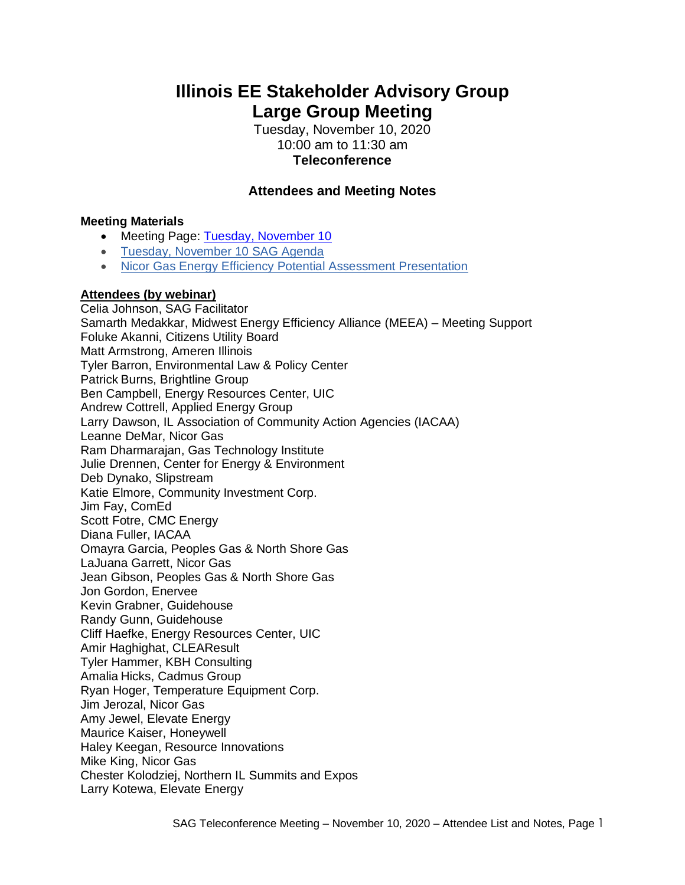# **Illinois EE Stakeholder Advisory Group Large Group Meeting**

Tuesday, November 10, 2020 10:00 am to 11:30 am **Teleconference**

# **Attendees and Meeting Notes**

### **Meeting Materials**

- Meeting Page: [Tuesday, November 10](https://www.ilsag.info/event/tuesday-november-10-sag-meeting/)
- [Tuesday, November 10 SAG Agenda](https://ilsag.s3.amazonaws.com/SAG_Meeting_Tues-Nov-10-2020_Meeting_Agenda_Finalv2-1.pdf)
- [Nicor Gas Energy Efficiency Potential Assessment Presentation](https://ilsag.s3.amazonaws.com/Nicor-Gas-EE-Potential-Assessment-SAG-Presentation_11-10-20.pdf)

## **Attendees (by webinar)**

Celia Johnson, SAG Facilitator Samarth Medakkar, Midwest Energy Efficiency Alliance (MEEA) – Meeting Support Foluke Akanni, Citizens Utility Board Matt Armstrong, Ameren Illinois Tyler Barron, Environmental Law & Policy Center Patrick Burns, Brightline Group Ben Campbell, Energy Resources Center, UIC Andrew Cottrell, Applied Energy Group Larry Dawson, IL Association of Community Action Agencies (IACAA) Leanne DeMar, Nicor Gas Ram Dharmarajan, Gas Technology Institute Julie Drennen, Center for Energy & Environment Deb Dynako, Slipstream Katie Elmore, Community Investment Corp. Jim Fay, ComEd Scott Fotre, CMC Energy Diana Fuller, IACAA Omayra Garcia, Peoples Gas & North Shore Gas LaJuana Garrett, Nicor Gas Jean Gibson, Peoples Gas & North Shore Gas Jon Gordon, Enervee Kevin Grabner, Guidehouse Randy Gunn, Guidehouse Cliff Haefke, Energy Resources Center, UIC Amir Haghighat, CLEAResult Tyler Hammer, KBH Consulting Amalia Hicks, Cadmus Group Ryan Hoger, Temperature Equipment Corp. Jim Jerozal, Nicor Gas Amy Jewel, Elevate Energy Maurice Kaiser, Honeywell Haley Keegan, Resource Innovations Mike King, Nicor Gas Chester Kolodziej, Northern IL Summits and Expos Larry Kotewa, Elevate Energy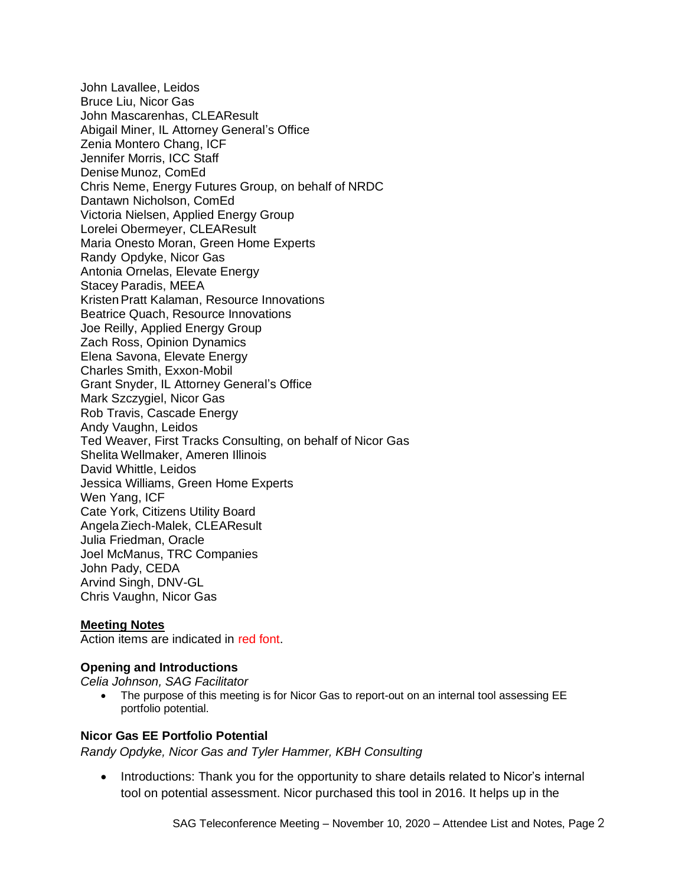John Lavallee, Leidos Bruce Liu, Nicor Gas John Mascarenhas, CLEAResult Abigail Miner, IL Attorney General's Office Zenia Montero Chang, ICF Jennifer Morris, ICC Staff Denise Munoz, ComEd Chris Neme, Energy Futures Group, on behalf of NRDC Dantawn Nicholson, ComEd Victoria Nielsen, Applied Energy Group Lorelei Obermeyer, CLEAResult Maria Onesto Moran, Green Home Experts Randy Opdyke, Nicor Gas Antonia Ornelas, Elevate Energy Stacey Paradis, MEEA KristenPratt Kalaman, Resource Innovations Beatrice Quach, Resource Innovations Joe Reilly, Applied Energy Group Zach Ross, Opinion Dynamics Elena Savona, Elevate Energy Charles Smith, Exxon-Mobil Grant Snyder, IL Attorney General's Office Mark Szczygiel, Nicor Gas Rob Travis, Cascade Energy Andy Vaughn, Leidos Ted Weaver, First Tracks Consulting, on behalf of Nicor Gas Shelita Wellmaker, Ameren Illinois David Whittle, Leidos Jessica Williams, Green Home Experts Wen Yang, ICF Cate York, Citizens Utility Board AngelaZiech-Malek, CLEAResult Julia Friedman, Oracle Joel McManus, TRC Companies John Pady, CEDA Arvind Singh, DNV-GL Chris Vaughn, Nicor Gas

#### **Meeting Notes**

Action items are indicated in red font.

#### **Opening and Introductions**

*Celia Johnson, SAG Facilitator*

• The purpose of this meeting is for Nicor Gas to report-out on an internal tool assessing EE portfolio potential.

#### **Nicor Gas EE Portfolio Potential**

*Randy Opdyke, Nicor Gas and Tyler Hammer, KBH Consulting*

• Introductions: Thank you for the opportunity to share details related to Nicor's internal tool on potential assessment. Nicor purchased this tool in 2016. It helps up in the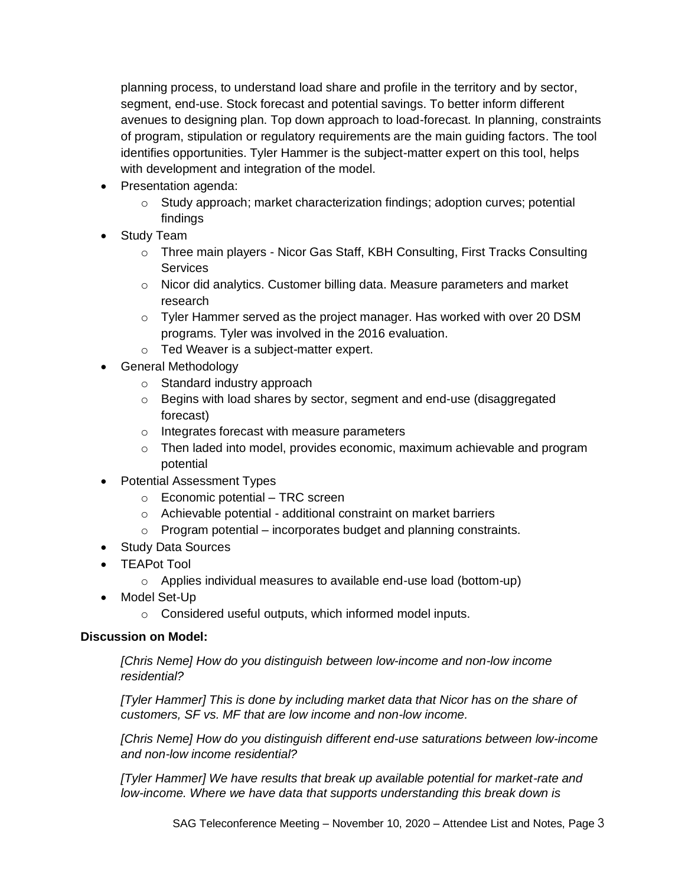planning process, to understand load share and profile in the territory and by sector, segment, end-use. Stock forecast and potential savings. To better inform different avenues to designing plan. Top down approach to load-forecast. In planning, constraints of program, stipulation or regulatory requirements are the main guiding factors. The tool identifies opportunities. Tyler Hammer is the subject-matter expert on this tool, helps with development and integration of the model.

- Presentation agenda:
	- o Study approach; market characterization findings; adoption curves; potential findings
- Study Team
	- o Three main players Nicor Gas Staff, KBH Consulting, First Tracks Consulting Services
	- $\circ$  Nicor did analytics. Customer billing data. Measure parameters and market research
	- o Tyler Hammer served as the project manager. Has worked with over 20 DSM programs. Tyler was involved in the 2016 evaluation.
	- o Ted Weaver is a subject-matter expert.
- General Methodology
	- o Standard industry approach
	- o Begins with load shares by sector, segment and end-use (disaggregated forecast)
	- o Integrates forecast with measure parameters
	- $\circ$  Then laded into model, provides economic, maximum achievable and program potential
- Potential Assessment Types
	- o Economic potential TRC screen
	- o Achievable potential additional constraint on market barriers
	- $\circ$  Program potential incorporates budget and planning constraints.
- Study Data Sources
- TEAPot Tool
	- o Applies individual measures to available end-use load (bottom-up)
- Model Set-Up
	- o Considered useful outputs, which informed model inputs.

# **Discussion on Model:**

*[Chris Neme] How do you distinguish between low-income and non-low income residential?*

*[Tyler Hammer] This is done by including market data that Nicor has on the share of customers, SF vs. MF that are low income and non-low income.*

*[Chris Neme] How do you distinguish different end-use saturations between low-income and non-low income residential?*

*[Tyler Hammer] We have results that break up available potential for market-rate and low-income. Where we have data that supports understanding this break down is*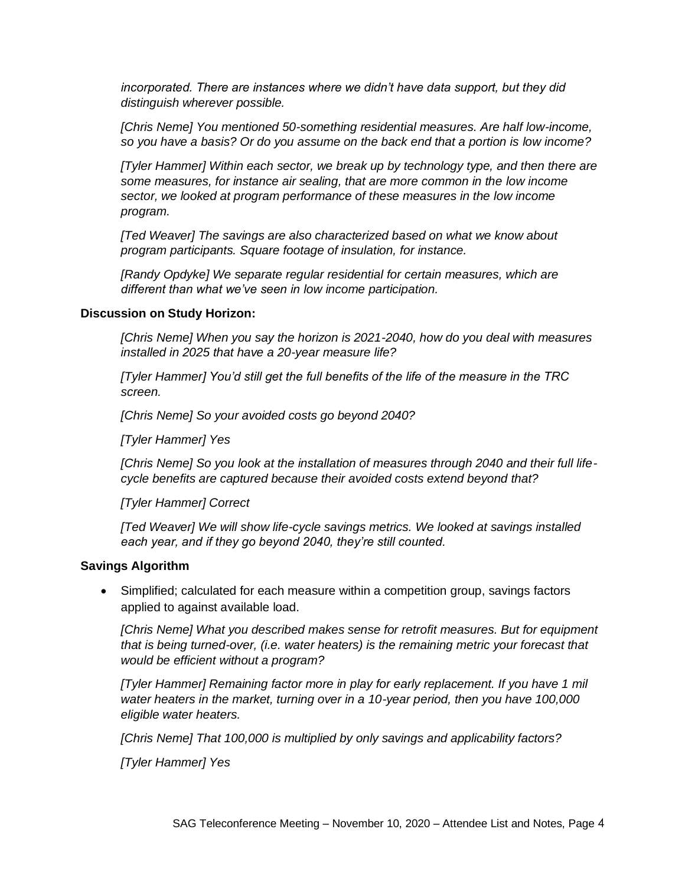*incorporated. There are instances where we didn't have data support, but they did distinguish wherever possible.* 

*[Chris Neme] You mentioned 50-something residential measures. Are half low-income, so you have a basis? Or do you assume on the back end that a portion is low income?*

*[Tyler Hammer] Within each sector, we break up by technology type, and then there are some measures, for instance air sealing, that are more common in the low income sector, we looked at program performance of these measures in the low income program.* 

*[Ted Weaver] The savings are also characterized based on what we know about program participants. Square footage of insulation, for instance.* 

*[Randy Opdyke] We separate regular residential for certain measures, which are different than what we've seen in low income participation.* 

#### **Discussion on Study Horizon:**

*[Chris Neme] When you say the horizon is 2021-2040, how do you deal with measures installed in 2025 that have a 20-year measure life?*

*[Tyler Hammer] You'd still get the full benefits of the life of the measure in the TRC screen.* 

*[Chris Neme] So your avoided costs go beyond 2040?*

*[Tyler Hammer] Yes*

*[Chris Neme] So you look at the installation of measures through 2040 and their full lifecycle benefits are captured because their avoided costs extend beyond that?*

*[Tyler Hammer] Correct*

*[Ted Weaver] We will show life-cycle savings metrics. We looked at savings installed each year, and if they go beyond 2040, they're still counted.* 

#### **Savings Algorithm**

• Simplified; calculated for each measure within a competition group, savings factors applied to against available load.

*[Chris Neme] What you described makes sense for retrofit measures. But for equipment that is being turned-over, (i.e. water heaters) is the remaining metric your forecast that would be efficient without a program?*

*[Tyler Hammer] Remaining factor more in play for early replacement. If you have 1 mil water heaters in the market, turning over in a 10-year period, then you have 100,000 eligible water heaters.* 

*[Chris Neme] That 100,000 is multiplied by only savings and applicability factors?*

*[Tyler Hammer] Yes*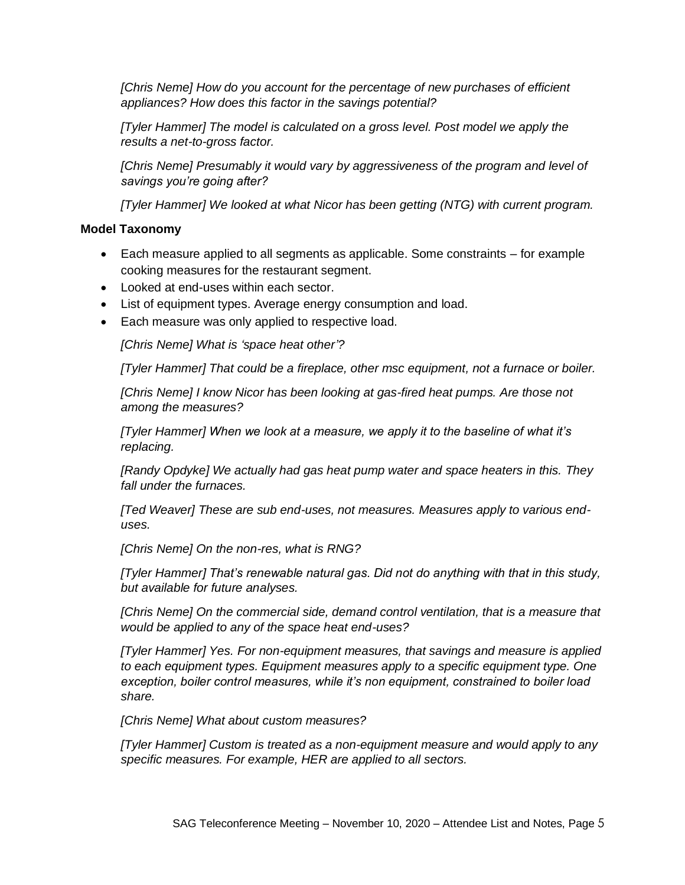*[Chris Neme] How do you account for the percentage of new purchases of efficient appliances? How does this factor in the savings potential?*

*[Tyler Hammer] The model is calculated on a gross level. Post model we apply the results a net-to-gross factor.* 

*[Chris Neme] Presumably it would vary by aggressiveness of the program and level of savings you're going after?*

*[Tyler Hammer] We looked at what Nicor has been getting (NTG) with current program.*

# **Model Taxonomy**

- Each measure applied to all segments as applicable. Some constraints for example cooking measures for the restaurant segment.
- Looked at end-uses within each sector.
- List of equipment types. Average energy consumption and load.
- Each measure was only applied to respective load.

*[Chris Neme] What is 'space heat other'?*

*[Tyler Hammer] That could be a fireplace, other msc equipment, not a furnace or boiler.* 

*[Chris Neme] I know Nicor has been looking at gas-fired heat pumps. Are those not among the measures?*

*[Tyler Hammer] When we look at a measure, we apply it to the baseline of what it's replacing.* 

*[Randy Opdyke] We actually had gas heat pump water and space heaters in this. They fall under the furnaces.*

*[Ted Weaver] These are sub end-uses, not measures. Measures apply to various enduses.* 

*[Chris Neme] On the non-res, what is RNG?*

*[Tyler Hammer] That's renewable natural gas. Did not do anything with that in this study, but available for future analyses.* 

*[Chris Neme] On the commercial side, demand control ventilation, that is a measure that would be applied to any of the space heat end-uses?*

*[Tyler Hammer] Yes. For non-equipment measures, that savings and measure is applied to each equipment types. Equipment measures apply to a specific equipment type. One exception, boiler control measures, while it's non equipment, constrained to boiler load share.* 

*[Chris Neme] What about custom measures?*

*[Tyler Hammer] Custom is treated as a non-equipment measure and would apply to any specific measures. For example, HER are applied to all sectors.*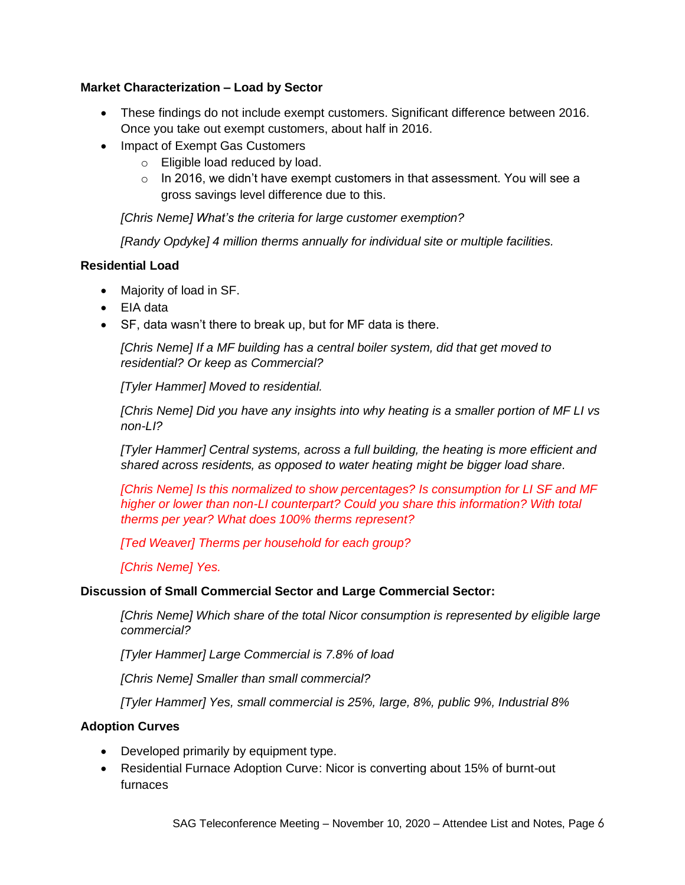# **Market Characterization – Load by Sector**

- These findings do not include exempt customers. Significant difference between 2016. Once you take out exempt customers, about half in 2016.
- Impact of Exempt Gas Customers
	- o Eligible load reduced by load.
	- $\circ$  In 2016, we didn't have exempt customers in that assessment. You will see a gross savings level difference due to this.

*[Chris Neme] What's the criteria for large customer exemption?*

*[Randy Opdyke] 4 million therms annually for individual site or multiple facilities.* 

# **Residential Load**

- Majority of load in SF.
- EIA data
- SF, data wasn't there to break up, but for MF data is there.

*[Chris Neme] If a MF building has a central boiler system, did that get moved to residential? Or keep as Commercial?*

*[Tyler Hammer] Moved to residential.*

*[Chris Neme] Did you have any insights into why heating is a smaller portion of MF LI vs non-LI?*

*[Tyler Hammer] Central systems, across a full building, the heating is more efficient and shared across residents, as opposed to water heating might be bigger load share.*

*[Chris Neme] Is this normalized to show percentages? Is consumption for LI SF and MF higher or lower than non-LI counterpart? Could you share this information? With total therms per year? What does 100% therms represent?*

*[Ted Weaver] Therms per household for each group?*

*[Chris Neme] Yes.* 

## **Discussion of Small Commercial Sector and Large Commercial Sector:**

*[Chris Neme] Which share of the total Nicor consumption is represented by eligible large commercial?*

*[Tyler Hammer] Large Commercial is 7.8% of load*

*[Chris Neme] Smaller than small commercial?*

*[Tyler Hammer] Yes, small commercial is 25%, large, 8%, public 9%, Industrial 8%*

## **Adoption Curves**

- Developed primarily by equipment type.
- Residential Furnace Adoption Curve: Nicor is converting about 15% of burnt-out furnaces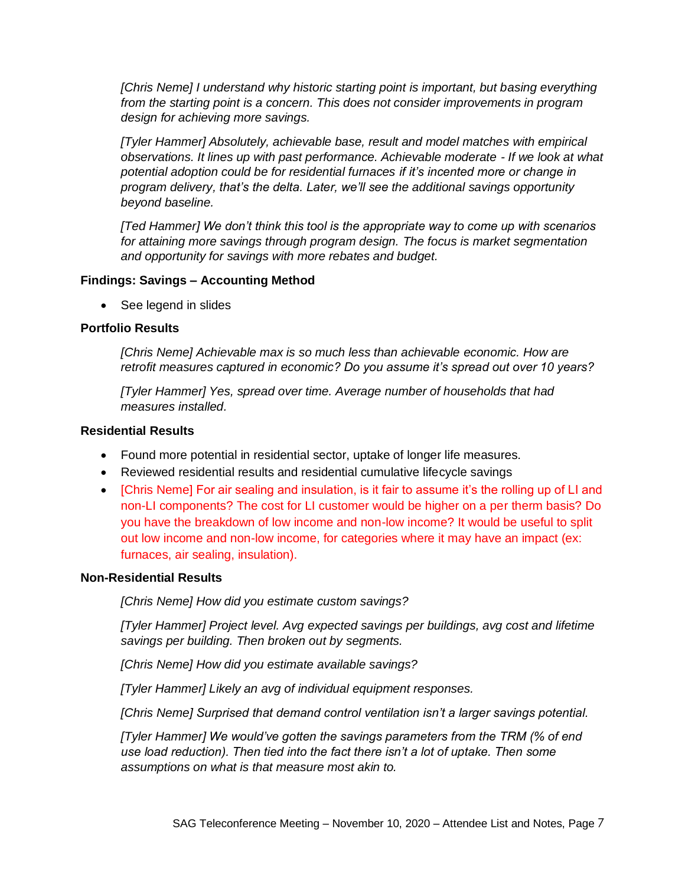*[Chris Neme] I understand why historic starting point is important, but basing everything from the starting point is a concern. This does not consider improvements in program design for achieving more savings.*

*[Tyler Hammer] Absolutely, achievable base, result and model matches with empirical observations. It lines up with past performance. Achievable moderate - If we look at what potential adoption could be for residential furnaces if it's incented more or change in program delivery, that's the delta. Later, we'll see the additional savings opportunity beyond baseline.* 

*[Ted Hammer] We don't think this tool is the appropriate way to come up with scenarios for attaining more savings through program design. The focus is market segmentation and opportunity for savings with more rebates and budget.* 

### **Findings: Savings – Accounting Method**

• See legend in slides

### **Portfolio Results**

*[Chris Neme] Achievable max is so much less than achievable economic. How are retrofit measures captured in economic? Do you assume it's spread out over 10 years?*

*[Tyler Hammer] Yes, spread over time. Average number of households that had measures installed.*

## **Residential Results**

- Found more potential in residential sector, uptake of longer life measures.
- Reviewed residential results and residential cumulative lifecycle savings
- [Chris Neme] For air sealing and insulation, is it fair to assume it's the rolling up of LI and non-LI components? The cost for LI customer would be higher on a per therm basis? Do you have the breakdown of low income and non-low income? It would be useful to split out low income and non-low income, for categories where it may have an impact (ex: furnaces, air sealing, insulation).

#### **Non-Residential Results**

*[Chris Neme] How did you estimate custom savings?* 

*[Tyler Hammer] Project level. Avg expected savings per buildings, avg cost and lifetime savings per building. Then broken out by segments.*

*[Chris Neme] How did you estimate available savings?*

*[Tyler Hammer] Likely an avg of individual equipment responses.* 

*[Chris Neme] Surprised that demand control ventilation isn't a larger savings potential.* 

*[Tyler Hammer] We would've gotten the savings parameters from the TRM (% of end use load reduction). Then tied into the fact there isn't a lot of uptake. Then some assumptions on what is that measure most akin to.*